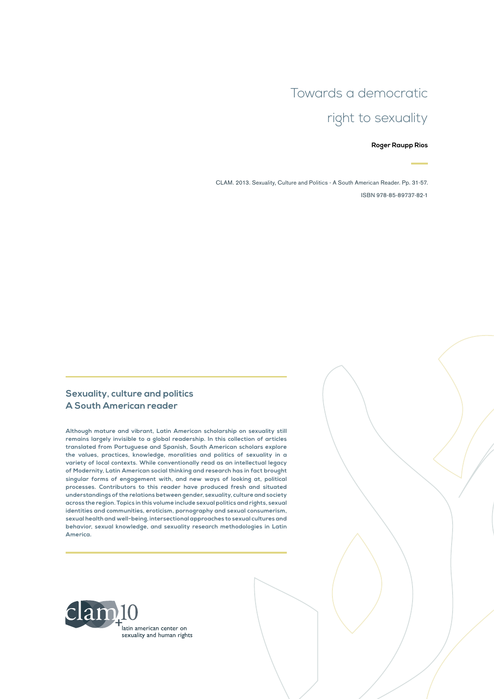# Towards a democratic right to sexuality

#### **Roger Raupp Rios**

CLAM. 2013. Sexuality, Culture and Politics - A South American Reader. Pp. 31-57. ISBN 978-85-89737-82-1

#### **Sexuality, culture and politics A South American reader**

**Although mature and vibrant, Latin American scholarship on sexuality still remains largely invisible to a global readership. In this collection of articles translated from Portuguese and Spanish, South American scholars explore the values, practices, knowledge, moralities and politics of sexuality in a variety of local contexts. While conventionally read as an intellectual legacy of Modernity, Latin American social thinking and research has in fact brought singular forms of engagement with, and new ways of looking at, political processes. Contributors to this reader have produced fresh and situated understandings of the relations between gender, sexuality, culture and society across the region. Topics in this volume include sexual politics and rights, sexual identities and communities, eroticism, pornography and sexual consumerism, sexual health and well-being, intersectional approaches to sexual cultures and behavior, sexual knowledge, and sexuality research methodologies in Latin America.**

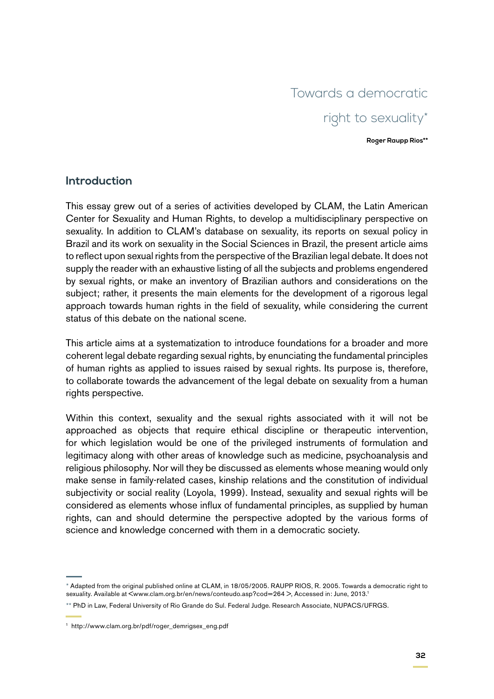# Towards a democratic right to sexuality\*

**Roger Raupp Rios\*\***

#### **Introduction**

This essay grew out of a series of activities developed by CLAM, the Latin American Center for Sexuality and Human Rights, to develop a multidisciplinary perspective on sexuality. In addition to CLAM's database on sexuality, its reports on sexual policy in Brazil and its work on sexuality in the Social Sciences in Brazil, the present article aims to reflect upon sexual rights from the perspective of the Brazilian legal debate. It does not supply the reader with an exhaustive listing of all the subjects and problems engendered by sexual rights, or make an inventory of Brazilian authors and considerations on the subject; rather, it presents the main elements for the development of a rigorous legal approach towards human rights in the field of sexuality, while considering the current status of this debate on the national scene.

This article aims at a systematization to introduce foundations for a broader and more coherent legal debate regarding sexual rights, by enunciating the fundamental principles of human rights as applied to issues raised by sexual rights. Its purpose is, therefore, to collaborate towards the advancement of the legal debate on sexuality from a human rights perspective.

Within this context, sexuality and the sexual rights associated with it will not be approached as objects that require ethical discipline or therapeutic intervention, for which legislation would be one of the privileged instruments of formulation and legitimacy along with other areas of knowledge such as medicine, psychoanalysis and religious philosophy. Nor will they be discussed as elements whose meaning would only make sense in family-related cases, kinship relations and the constitution of individual subjectivity or social reality (Loyola, 1999). Instead, sexuality and sexual rights will be considered as elements whose influx of fundamental principles, as supplied by human rights, can and should determine the perspective adopted by the various forms of science and knowledge concerned with them in a democratic society.

<sup>\*</sup> Adapted from the original published online at CLAM, in 18/05/2005. RAUPP RIOS, R. 2005. Towards a democratic right to sexuality. Available at <www.clam.org.br/en/news/conteudo.asp?cod=264 >, Accessed in: June, 2013.1

<sup>\*\*</sup> PhD in Law, Federal University of Rio Grande do Sul. Federal Judge. Research Associate, NUPACS/UFRGS.

<sup>1</sup> [http://www.clam.org.br/pdf/roger\\_demrigsex\\_eng.pdf](http://www.clam.org.br/pdf/roger_demrigsex_eng.pdf)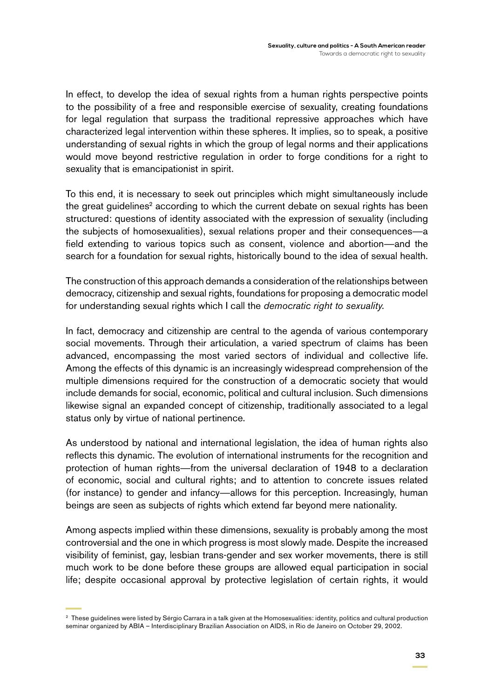In effect, to develop the idea of sexual rights from a human rights perspective points to the possibility of a free and responsible exercise of sexuality, creating foundations for legal regulation that surpass the traditional repressive approaches which have characterized legal intervention within these spheres. It implies, so to speak, a positive understanding of sexual rights in which the group of legal norms and their applications would move beyond restrictive regulation in order to forge conditions for a right to sexuality that is emancipationist in spirit.

To this end, it is necessary to seek out principles which might simultaneously include the great guidelines<sup>2</sup> according to which the current debate on sexual rights has been structured: questions of identity associated with the expression of sexuality (including the subjects of homosexualities), sexual relations proper and their consequences—a field extending to various topics such as consent, violence and abortion—and the search for a foundation for sexual rights, historically bound to the idea of sexual health.

The construction of this approach demands a consideration of the relationships between democracy, citizenship and sexual rights, foundations for proposing a democratic model for understanding sexual rights which I call the *democratic right to sexuality*.

In fact, democracy and citizenship are central to the agenda of various contemporary social movements. Through their articulation, a varied spectrum of claims has been advanced, encompassing the most varied sectors of individual and collective life. Among the effects of this dynamic is an increasingly widespread comprehension of the multiple dimensions required for the construction of a democratic society that would include demands for social, economic, political and cultural inclusion. Such dimensions likewise signal an expanded concept of citizenship, traditionally associated to a legal status only by virtue of national pertinence.

As understood by national and international legislation, the idea of human rights also reflects this dynamic. The evolution of international instruments for the recognition and protection of human rights—from the universal declaration of 1948 to a declaration of economic, social and cultural rights; and to attention to concrete issues related (for instance) to gender and infancy—allows for this perception. Increasingly, human beings are seen as subjects of rights which extend far beyond mere nationality.

Among aspects implied within these dimensions, sexuality is probably among the most controversial and the one in which progress is most slowly made. Despite the increased visibility of feminist, gay, lesbian trans-gender and sex worker movements, there is still much work to be done before these groups are allowed equal participation in social life; despite occasional approval by protective legislation of certain rights, it would

<sup>&</sup>lt;sup>2</sup> These guidelines were listed by Sérgio Carrara in a talk given at the Homosexualities: identity, politics and cultural production seminar organized by ABIA – Interdisciplinary Brazilian Association on AIDS, in Rio de Janeiro on October 29, 2002.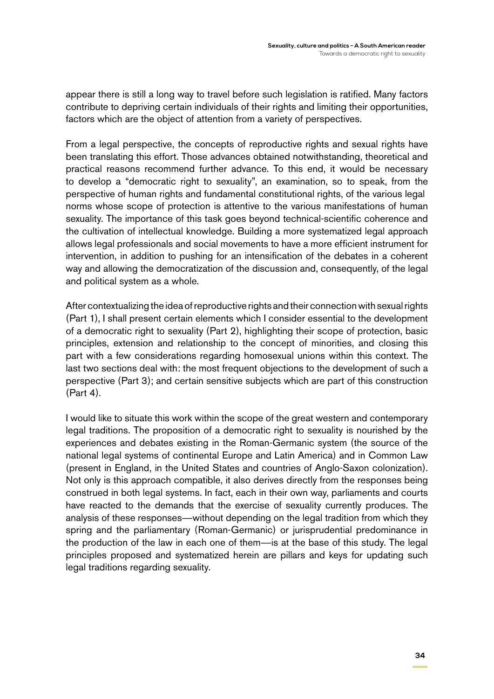appear there is still a long way to travel before such legislation is ratified. Many factors contribute to depriving certain individuals of their rights and limiting their opportunities, factors which are the object of attention from a variety of perspectives.

From a legal perspective, the concepts of reproductive rights and sexual rights have been translating this effort. Those advances obtained notwithstanding, theoretical and practical reasons recommend further advance. To this end, it would be necessary to develop a "democratic right to sexuality", an examination, so to speak, from the perspective of human rights and fundamental constitutional rights, of the various legal norms whose scope of protection is attentive to the various manifestations of human sexuality. The importance of this task goes beyond technical-scientific coherence and the cultivation of intellectual knowledge. Building a more systematized legal approach allows legal professionals and social movements to have a more efficient instrument for intervention, in addition to pushing for an intensification of the debates in a coherent way and allowing the democratization of the discussion and, consequently, of the legal and political system as a whole.

After contextualizing the idea of reproductive rights and their connection with sexual rights (Part 1), I shall present certain elements which I consider essential to the development of a democratic right to sexuality (Part 2), highlighting their scope of protection, basic principles, extension and relationship to the concept of minorities, and closing this part with a few considerations regarding homosexual unions within this context. The last two sections deal with: the most frequent objections to the development of such a perspective (Part 3); and certain sensitive subjects which are part of this construction (Part 4).

I would like to situate this work within the scope of the great western and contemporary legal traditions. The proposition of a democratic right to sexuality is nourished by the experiences and debates existing in the Roman-Germanic system (the source of the national legal systems of continental Europe and Latin America) and in Common Law (present in England, in the United States and countries of Anglo-Saxon colonization). Not only is this approach compatible, it also derives directly from the responses being construed in both legal systems. In fact, each in their own way, parliaments and courts have reacted to the demands that the exercise of sexuality currently produces. The analysis of these responses—without depending on the legal tradition from which they spring and the parliamentary (Roman-Germanic) or jurisprudential predominance in the production of the law in each one of them—is at the base of this study. The legal principles proposed and systematized herein are pillars and keys for updating such legal traditions regarding sexuality.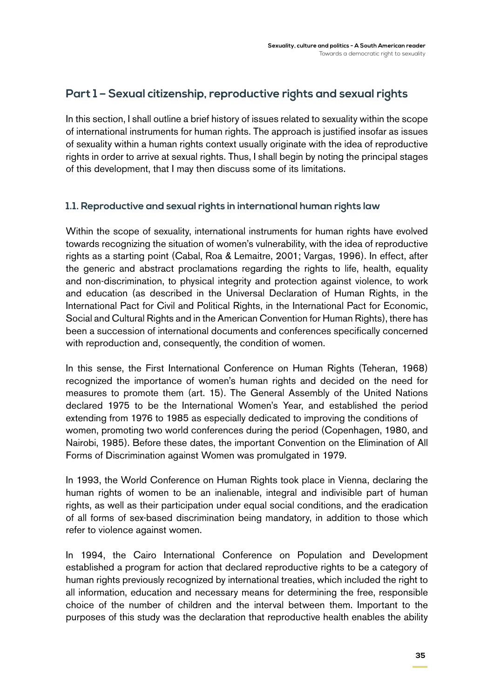## **Part 1 – Sexual citizenship, reproductive rights and sexual rights**

In this section, I shall outline a brief history of issues related to sexuality within the scope of international instruments for human rights. The approach is justified insofar as issues of sexuality within a human rights context usually originate with the idea of reproductive rights in order to arrive at sexual rights. Thus, I shall begin by noting the principal stages of this development, that I may then discuss some of its limitations.

#### **1.1. Reproductive and sexual rights in international human rights law**

Within the scope of sexuality, international instruments for human rights have evolved towards recognizing the situation of women's vulnerability, with the idea of reproductive rights as a starting point (Cabal, Roa & Lemaitre, 2001; Vargas, 1996). In effect, after the generic and abstract proclamations regarding the rights to life, health, equality and non-discrimination, to physical integrity and protection against violence, to work and education (as described in the Universal Declaration of Human Rights, in the International Pact for Civil and Political Rights, in the International Pact for Economic, Social and Cultural Rights and in the American Convention for Human Rights), there has been a succession of international documents and conferences specifically concerned with reproduction and, consequently, the condition of women.

In this sense, the First International Conference on Human Rights (Teheran, 1968) recognized the importance of women's human rights and decided on the need for measures to promote them (art. 15). The General Assembly of the United Nations declared 1975 to be the International Women's Year, and established the period extending from 1976 to 1985 as especially dedicated to improving the conditions of women, promoting two world conferences during the period (Copenhagen, 1980, and Nairobi, 1985). Before these dates, the important Convention on the Elimination of All Forms of Discrimination against Women was promulgated in 1979.

In 1993, the World Conference on Human Rights took place in Vienna, declaring the human rights of women to be an inalienable, integral and indivisible part of human rights, as well as their participation under equal social conditions, and the eradication of all forms of sex-based discrimination being mandatory, in addition to those which refer to violence against women.

In 1994, the Cairo International Conference on Population and Development established a program for action that declared reproductive rights to be a category of human rights previously recognized by international treaties, which included the right to all information, education and necessary means for determining the free, responsible choice of the number of children and the interval between them. Important to the purposes of this study was the declaration that reproductive health enables the ability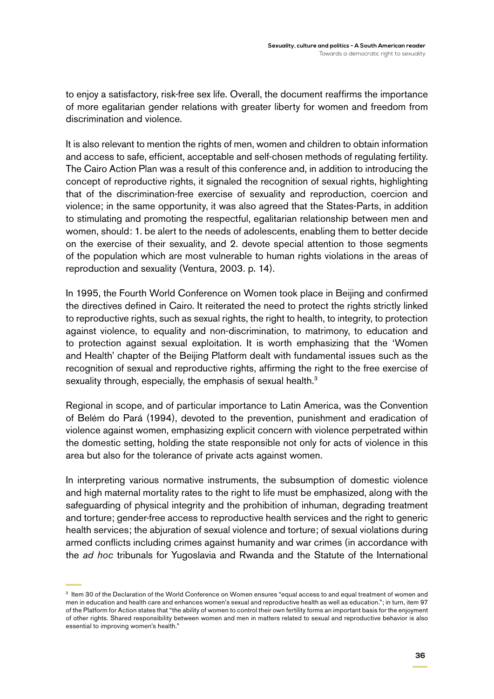to enjoy a satisfactory, risk-free sex life. Overall, the document reaffirms the importance of more egalitarian gender relations with greater liberty for women and freedom from discrimination and violence.

It is also relevant to mention the rights of men, women and children to obtain information and access to safe, efficient, acceptable and self-chosen methods of regulating fertility. The Cairo Action Plan was a result of this conference and, in addition to introducing the concept of reproductive rights, it signaled the recognition of sexual rights, highlighting that of the discrimination-free exercise of sexuality and reproduction, coercion and violence; in the same opportunity, it was also agreed that the States-Parts, in addition to stimulating and promoting the respectful, egalitarian relationship between men and women, should: 1. be alert to the needs of adolescents, enabling them to better decide on the exercise of their sexuality, and 2. devote special attention to those segments of the population which are most vulnerable to human rights violations in the areas of reproduction and sexuality (Ventura, 2003. p. 14).

In 1995, the Fourth World Conference on Women took place in Beijing and confirmed the directives defined in Cairo. It reiterated the need to protect the rights strictly linked to reproductive rights, such as sexual rights, the right to health, to integrity, to protection against violence, to equality and non-discrimination, to matrimony, to education and to protection against sexual exploitation. It is worth emphasizing that the 'Women and Health' chapter of the Beijing Platform dealt with fundamental issues such as the recognition of sexual and reproductive rights, affirming the right to the free exercise of sexuality through, especially, the emphasis of sexual health.<sup>3</sup>

Regional in scope, and of particular importance to Latin America, was the Convention of Belém do Pará (1994), devoted to the prevention, punishment and eradication of violence against women, emphasizing explicit concern with violence perpetrated within the domestic setting, holding the state responsible not only for acts of violence in this area but also for the tolerance of private acts against women.

In interpreting various normative instruments, the subsumption of domestic violence and high maternal mortality rates to the right to life must be emphasized, along with the safeguarding of physical integrity and the prohibition of inhuman, degrading treatment and torture; gender-free access to reproductive health services and the right to generic health services; the abjuration of sexual violence and torture; of sexual violations during armed conflicts including crimes against humanity and war crimes (in accordance with the *ad hoc* tribunals for Yugoslavia and Rwanda and the Statute of the International

<sup>3</sup> Item 30 of the Declaration of the World Conference on Women ensures "equal access to and equal treatment of women and men in education and health care and enhances women's sexual and reproductive health as well as education."; in turn, item 97 of the Platform for Action states that "the ability of women to control their own fertility forms an important basis for the enjoyment of other rights. Shared responsibility between women and men in matters related to sexual and reproductive behavior is also essential to improving women's health."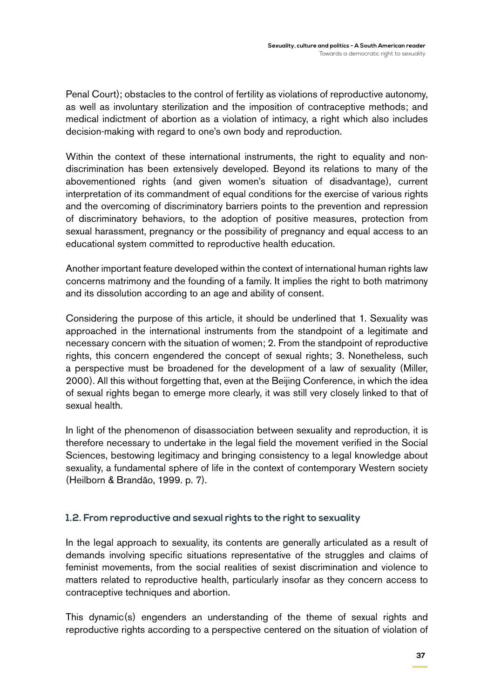Penal Court); obstacles to the control of fertility as violations of reproductive autonomy, as well as involuntary sterilization and the imposition of contraceptive methods; and medical indictment of abortion as a violation of intimacy, a right which also includes decision-making with regard to one's own body and reproduction.

Within the context of these international instruments, the right to equality and nondiscrimination has been extensively developed. Beyond its relations to many of the abovementioned rights (and given women's situation of disadvantage), current interpretation of its commandment of equal conditions for the exercise of various rights and the overcoming of discriminatory barriers points to the prevention and repression of discriminatory behaviors, to the adoption of positive measures, protection from sexual harassment, pregnancy or the possibility of pregnancy and equal access to an educational system committed to reproductive health education.

Another important feature developed within the context of international human rights law concerns matrimony and the founding of a family. It implies the right to both matrimony and its dissolution according to an age and ability of consent.

Considering the purpose of this article, it should be underlined that 1. Sexuality was approached in the international instruments from the standpoint of a legitimate and necessary concern with the situation of women; 2. From the standpoint of reproductive rights, this concern engendered the concept of sexual rights; 3. Nonetheless, such a perspective must be broadened for the development of a law of sexuality (Miller, 2000). All this without forgetting that, even at the Beijing Conference, in which the idea of sexual rights began to emerge more clearly, it was still very closely linked to that of sexual health.

In light of the phenomenon of disassociation between sexuality and reproduction, it is therefore necessary to undertake in the legal field the movement verified in the Social Sciences, bestowing legitimacy and bringing consistency to a legal knowledge about sexuality, a fundamental sphere of life in the context of contemporary Western society (Heilborn & Brandão, 1999. p. 7).

#### **1.2. From reproductive and sexual rights to the right to sexuality**

In the legal approach to sexuality, its contents are generally articulated as a result of demands involving specific situations representative of the struggles and claims of feminist movements, from the social realities of sexist discrimination and violence to matters related to reproductive health, particularly insofar as they concern access to contraceptive techniques and abortion.

This dynamic(s) engenders an understanding of the theme of sexual rights and reproductive rights according to a perspective centered on the situation of violation of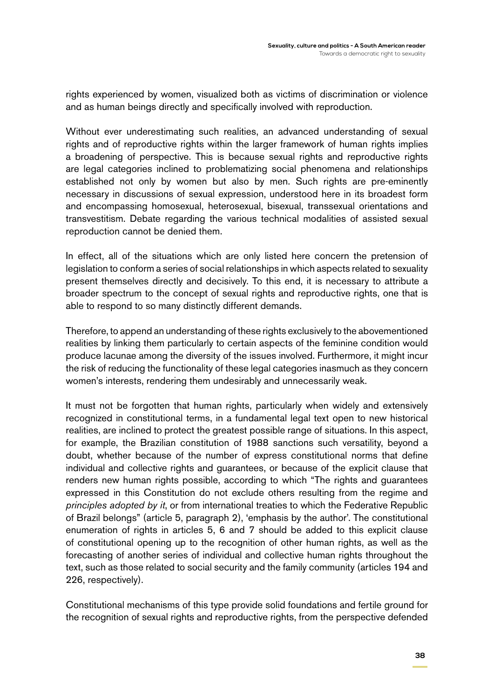rights experienced by women, visualized both as victims of discrimination or violence and as human beings directly and specifically involved with reproduction.

Without ever underestimating such realities, an advanced understanding of sexual rights and of reproductive rights within the larger framework of human rights implies a broadening of perspective. This is because sexual rights and reproductive rights are legal categories inclined to problematizing social phenomena and relationships established not only by women but also by men. Such rights are pre-eminently necessary in discussions of sexual expression, understood here in its broadest form and encompassing homosexual, heterosexual, bisexual, transsexual orientations and transvestitism. Debate regarding the various technical modalities of assisted sexual reproduction cannot be denied them.

In effect, all of the situations which are only listed here concern the pretension of legislation to conform a series of social relationships in which aspects related to sexuality present themselves directly and decisively. To this end, it is necessary to attribute a broader spectrum to the concept of sexual rights and reproductive rights, one that is able to respond to so many distinctly different demands.

Therefore, to append an understanding of these rights exclusively to the abovementioned realities by linking them particularly to certain aspects of the feminine condition would produce lacunae among the diversity of the issues involved. Furthermore, it might incur the risk of reducing the functionality of these legal categories inasmuch as they concern women's interests, rendering them undesirably and unnecessarily weak.

It must not be forgotten that human rights, particularly when widely and extensively recognized in constitutional terms, in a fundamental legal text open to new historical realities, are inclined to protect the greatest possible range of situations. In this aspect, for example, the Brazilian constitution of 1988 sanctions such versatility, beyond a doubt, whether because of the number of express constitutional norms that define individual and collective rights and guarantees, or because of the explicit clause that renders new human rights possible, according to which "The rights and guarantees expressed in this Constitution do not exclude others resulting from the regime and *principles adopted by it*, or from international treaties to which the Federative Republic of Brazil belongs" (article 5, paragraph 2), 'emphasis by the author'. The constitutional enumeration of rights in articles 5, 6 and 7 should be added to this explicit clause of constitutional opening up to the recognition of other human rights, as well as the forecasting of another series of individual and collective human rights throughout the text, such as those related to social security and the family community (articles 194 and 226, respectively).

Constitutional mechanisms of this type provide solid foundations and fertile ground for the recognition of sexual rights and reproductive rights, from the perspective defended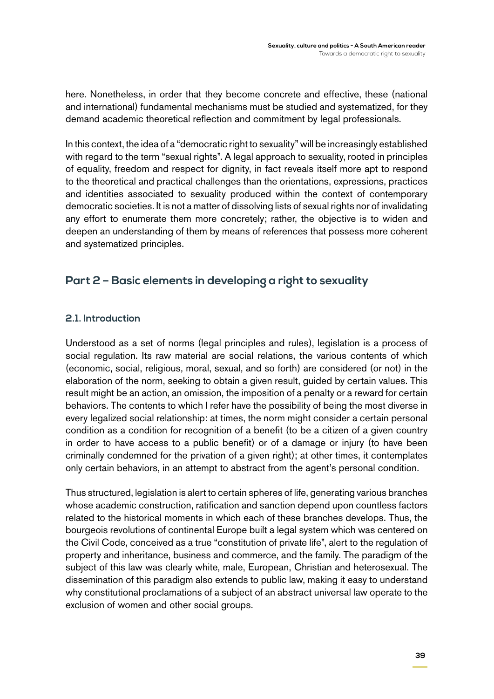here. Nonetheless, in order that they become concrete and effective, these (national and international) fundamental mechanisms must be studied and systematized, for they demand academic theoretical reflection and commitment by legal professionals.

In this context, the idea of a "democratic right to sexuality" will be increasingly established with regard to the term "sexual rights". A legal approach to sexuality, rooted in principles of equality, freedom and respect for dignity, in fact reveals itself more apt to respond to the theoretical and practical challenges than the orientations, expressions, practices and identities associated to sexuality produced within the context of contemporary democratic societies. It is not a matter of dissolving lists of sexual rights nor of invalidating any effort to enumerate them more concretely; rather, the objective is to widen and deepen an understanding of them by means of references that possess more coherent and systematized principles.

## **Part 2 – Basic elements in developing a right to sexuality**

#### **2.1. Introduction**

Understood as a set of norms (legal principles and rules), legislation is a process of social regulation. Its raw material are social relations, the various contents of which (economic, social, religious, moral, sexual, and so forth) are considered (or not) in the elaboration of the norm, seeking to obtain a given result, guided by certain values. This result might be an action, an omission, the imposition of a penalty or a reward for certain behaviors. The contents to which I refer have the possibility of being the most diverse in every legalized social relationship: at times, the norm might consider a certain personal condition as a condition for recognition of a benefit (to be a citizen of a given country in order to have access to a public benefit) or of a damage or injury (to have been criminally condemned for the privation of a given right); at other times, it contemplates only certain behaviors, in an attempt to abstract from the agent's personal condition.

Thus structured, legislation is alert to certain spheres of life, generating various branches whose academic construction, ratification and sanction depend upon countless factors related to the historical moments in which each of these branches develops. Thus, the bourgeois revolutions of continental Europe built a legal system which was centered on the Civil Code, conceived as a true "constitution of private life", alert to the regulation of property and inheritance, business and commerce, and the family. The paradigm of the subject of this law was clearly white, male, European, Christian and heterosexual. The dissemination of this paradigm also extends to public law, making it easy to understand why constitutional proclamations of a subject of an abstract universal law operate to the exclusion of women and other social groups.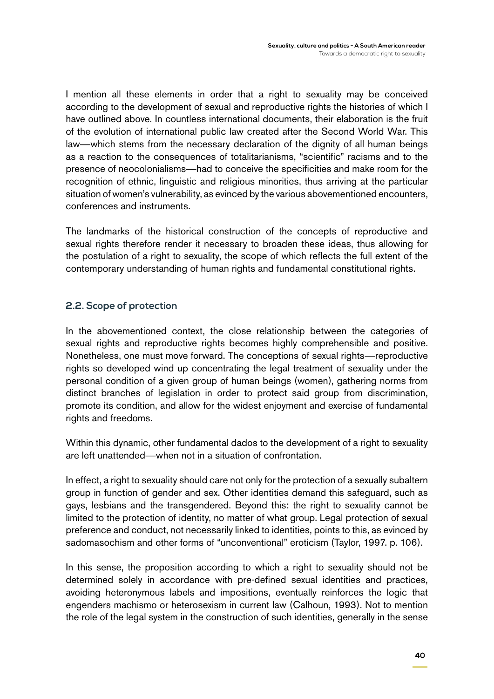I mention all these elements in order that a right to sexuality may be conceived according to the development of sexual and reproductive rights the histories of which I have outlined above. In countless international documents, their elaboration is the fruit of the evolution of international public law created after the Second World War. This law—which stems from the necessary declaration of the dignity of all human beings as a reaction to the consequences of totalitarianisms, "scientific" racisms and to the presence of neocolonialisms—had to conceive the specificities and make room for the recognition of ethnic, linguistic and religious minorities, thus arriving at the particular situation of women's vulnerability, as evinced by the various abovementioned encounters, conferences and instruments.

The landmarks of the historical construction of the concepts of reproductive and sexual rights therefore render it necessary to broaden these ideas, thus allowing for the postulation of a right to sexuality, the scope of which reflects the full extent of the contemporary understanding of human rights and fundamental constitutional rights.

#### **2.2. Scope of protection**

In the abovementioned context, the close relationship between the categories of sexual rights and reproductive rights becomes highly comprehensible and positive. Nonetheless, one must move forward. The conceptions of sexual rights—reproductive rights so developed wind up concentrating the legal treatment of sexuality under the personal condition of a given group of human beings (women), gathering norms from distinct branches of legislation in order to protect said group from discrimination, promote its condition, and allow for the widest enjoyment and exercise of fundamental rights and freedoms.

Within this dynamic, other fundamental dados to the development of a right to sexuality are left unattended—when not in a situation of confrontation.

In effect, a right to sexuality should care not only for the protection of a sexually subaltern group in function of gender and sex. Other identities demand this safeguard, such as gays, lesbians and the transgendered. Beyond this: the right to sexuality cannot be limited to the protection of identity, no matter of what group. Legal protection of sexual preference and conduct, not necessarily linked to identities, points to this, as evinced by sadomasochism and other forms of "unconventional" eroticism (Taylor, 1997. p. 106).

In this sense, the proposition according to which a right to sexuality should not be determined solely in accordance with pre-defined sexual identities and practices, avoiding heteronymous labels and impositions, eventually reinforces the logic that engenders machismo or heterosexism in current law (Calhoun, 1993). Not to mention the role of the legal system in the construction of such identities, generally in the sense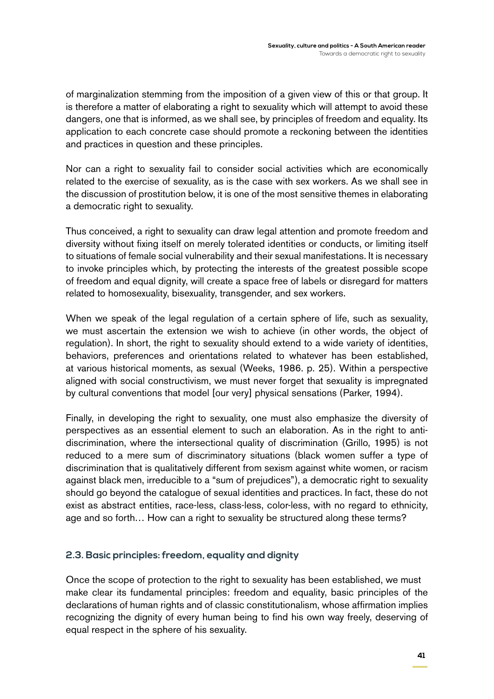of marginalization stemming from the imposition of a given view of this or that group. It is therefore a matter of elaborating a right to sexuality which will attempt to avoid these dangers, one that is informed, as we shall see, by principles of freedom and equality. Its application to each concrete case should promote a reckoning between the identities and practices in question and these principles.

Nor can a right to sexuality fail to consider social activities which are economically related to the exercise of sexuality, as is the case with sex workers. As we shall see in the discussion of prostitution below, it is one of the most sensitive themes in elaborating a democratic right to sexuality.

Thus conceived, a right to sexuality can draw legal attention and promote freedom and diversity without fixing itself on merely tolerated identities or conducts, or limiting itself to situations of female social vulnerability and their sexual manifestations. It is necessary to invoke principles which, by protecting the interests of the greatest possible scope of freedom and equal dignity, will create a space free of labels or disregard for matters related to homosexuality, bisexuality, transgender, and sex workers.

When we speak of the legal regulation of a certain sphere of life, such as sexuality, we must ascertain the extension we wish to achieve (in other words, the object of regulation). In short, the right to sexuality should extend to a wide variety of identities, behaviors, preferences and orientations related to whatever has been established, at various historical moments, as sexual (Weeks, 1986. p. 25). Within a perspective aligned with social constructivism, we must never forget that sexuality is impregnated by cultural conventions that model [our very] physical sensations (Parker, 1994).

Finally, in developing the right to sexuality, one must also emphasize the diversity of perspectives as an essential element to such an elaboration. As in the right to antidiscrimination, where the intersectional quality of discrimination (Grillo, 1995) is not reduced to a mere sum of discriminatory situations (black women suffer a type of discrimination that is qualitatively different from sexism against white women, or racism against black men, irreducible to a "sum of prejudices"), a democratic right to sexuality should go beyond the catalogue of sexual identities and practices. In fact, these do not exist as abstract entities, race-less, class-less, color-less, with no regard to ethnicity, age and so forth… How can a right to sexuality be structured along these terms?

#### **2.3. Basic principles: freedom, equality and dignity**

Once the scope of protection to the right to sexuality has been established, we must make clear its fundamental principles: freedom and equality, basic principles of the declarations of human rights and of classic constitutionalism, whose affirmation implies recognizing the dignity of every human being to find his own way freely, deserving of equal respect in the sphere of his sexuality.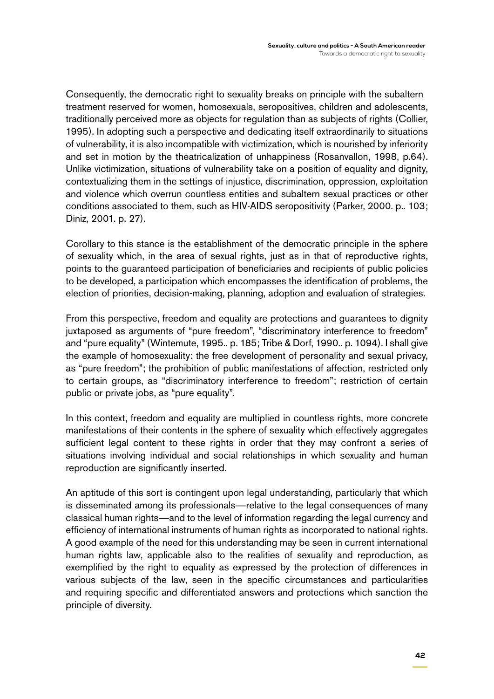Consequently, the democratic right to sexuality breaks on principle with the subaltern treatment reserved for women, homosexuals, seropositives, children and adolescents, traditionally perceived more as objects for regulation than as subjects of rights (Collier, 1995). In adopting such a perspective and dedicating itself extraordinarily to situations of vulnerability, it is also incompatible with victimization, which is nourished by inferiority and set in motion by the theatricalization of unhappiness (Rosanvallon, 1998, p.64). Unlike victimization, situations of vulnerability take on a position of equality and dignity, contextualizing them in the settings of injustice, discrimination, oppression, exploitation and violence which overrun countless entities and subaltern sexual practices or other conditions associated to them, such as HIV-AIDS seropositivity (Parker, 2000. p.. 103; Diniz, 2001. p. 27).

Corollary to this stance is the establishment of the democratic principle in the sphere of sexuality which, in the area of sexual rights, just as in that of reproductive rights, points to the guaranteed participation of beneficiaries and recipients of public policies to be developed, a participation which encompasses the identification of problems, the election of priorities, decision-making, planning, adoption and evaluation of strategies.

From this perspective, freedom and equality are protections and guarantees to dignity juxtaposed as arguments of "pure freedom", "discriminatory interference to freedom" and "pure equality" (Wintemute, 1995.. p. 185; Tribe & Dorf, 1990.. p. 1094). I shall give the example of homosexuality: the free development of personality and sexual privacy, as "pure freedom"; the prohibition of public manifestations of affection, restricted only to certain groups, as "discriminatory interference to freedom"; restriction of certain public or private jobs, as "pure equality".

In this context, freedom and equality are multiplied in countless rights, more concrete manifestations of their contents in the sphere of sexuality which effectively aggregates sufficient legal content to these rights in order that they may confront a series of situations involving individual and social relationships in which sexuality and human reproduction are significantly inserted.

An aptitude of this sort is contingent upon legal understanding, particularly that which is disseminated among its professionals—relative to the legal consequences of many classical human rights—and to the level of information regarding the legal currency and efficiency of international instruments of human rights as incorporated to national rights. A good example of the need for this understanding may be seen in current international human rights law, applicable also to the realities of sexuality and reproduction, as exemplified by the right to equality as expressed by the protection of differences in various subjects of the law, seen in the specific circumstances and particularities and requiring specific and differentiated answers and protections which sanction the principle of diversity.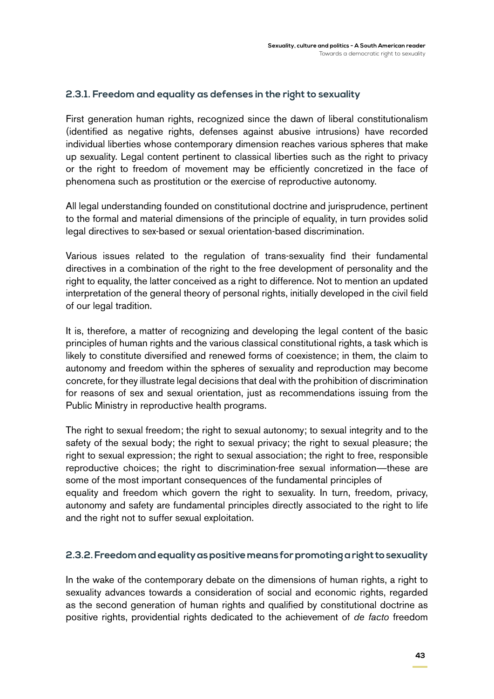#### **2.3.1. Freedom and equality as defenses in the right to sexuality**

First generation human rights, recognized since the dawn of liberal constitutionalism (identified as negative rights, defenses against abusive intrusions) have recorded individual liberties whose contemporary dimension reaches various spheres that make up sexuality. Legal content pertinent to classical liberties such as the right to privacy or the right to freedom of movement may be efficiently concretized in the face of phenomena such as prostitution or the exercise of reproductive autonomy.

All legal understanding founded on constitutional doctrine and jurisprudence, pertinent to the formal and material dimensions of the principle of equality, in turn provides solid legal directives to sex-based or sexual orientation-based discrimination.

Various issues related to the regulation of trans-sexuality find their fundamental directives in a combination of the right to the free development of personality and the right to equality, the latter conceived as a right to difference. Not to mention an updated interpretation of the general theory of personal rights, initially developed in the civil field of our legal tradition.

It is, therefore, a matter of recognizing and developing the legal content of the basic principles of human rights and the various classical constitutional rights, a task which is likely to constitute diversified and renewed forms of coexistence; in them, the claim to autonomy and freedom within the spheres of sexuality and reproduction may become concrete, for they illustrate legal decisions that deal with the prohibition of discrimination for reasons of sex and sexual orientation, just as recommendations issuing from the Public Ministry in reproductive health programs.

The right to sexual freedom; the right to sexual autonomy; to sexual integrity and to the safety of the sexual body; the right to sexual privacy; the right to sexual pleasure; the right to sexual expression; the right to sexual association; the right to free, responsible reproductive choices; the right to discrimination-free sexual information—these are some of the most important consequences of the fundamental principles of equality and freedom which govern the right to sexuality. In turn, freedom, privacy, autonomy and safety are fundamental principles directly associated to the right to life and the right not to suffer sexual exploitation.

#### **2.3.2. Freedom and equality as positive means for promoting a right to sexuality**

In the wake of the contemporary debate on the dimensions of human rights, a right to sexuality advances towards a consideration of social and economic rights, regarded as the second generation of human rights and qualified by constitutional doctrine as positive rights, providential rights dedicated to the achievement of *de facto* freedom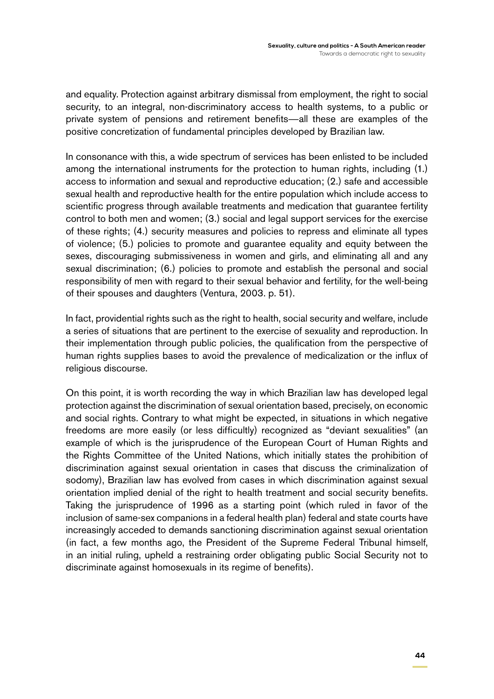and equality. Protection against arbitrary dismissal from employment, the right to social security, to an integral, non-discriminatory access to health systems, to a public or private system of pensions and retirement benefits—all these are examples of the positive concretization of fundamental principles developed by Brazilian law.

In consonance with this, a wide spectrum of services has been enlisted to be included among the international instruments for the protection to human rights, including (1.) access to information and sexual and reproductive education; (2.) safe and accessible sexual health and reproductive health for the entire population which include access to scientific progress through available treatments and medication that guarantee fertility control to both men and women; (3.) social and legal support services for the exercise of these rights; (4.) security measures and policies to repress and eliminate all types of violence; (5.) policies to promote and guarantee equality and equity between the sexes, discouraging submissiveness in women and girls, and eliminating all and any sexual discrimination; (6.) policies to promote and establish the personal and social responsibility of men with regard to their sexual behavior and fertility, for the well-being of their spouses and daughters (Ventura, 2003. p. 51).

In fact, providential rights such as the right to health, social security and welfare, include a series of situations that are pertinent to the exercise of sexuality and reproduction. In their implementation through public policies, the qualification from the perspective of human rights supplies bases to avoid the prevalence of medicalization or the influx of religious discourse.

On this point, it is worth recording the way in which Brazilian law has developed legal protection against the discrimination of sexual orientation based, precisely, on economic and social rights. Contrary to what might be expected, in situations in which negative freedoms are more easily (or less difficultly) recognized as "deviant sexualities" (an example of which is the jurisprudence of the European Court of Human Rights and the Rights Committee of the United Nations, which initially states the prohibition of discrimination against sexual orientation in cases that discuss the criminalization of sodomy), Brazilian law has evolved from cases in which discrimination against sexual orientation implied denial of the right to health treatment and social security benefits. Taking the jurisprudence of 1996 as a starting point (which ruled in favor of the inclusion of same-sex companions in a federal health plan) federal and state courts have increasingly acceded to demands sanctioning discrimination against sexual orientation (in fact, a few months ago, the President of the Supreme Federal Tribunal himself, in an initial ruling, upheld a restraining order obligating public Social Security not to discriminate against homosexuals in its regime of benefits).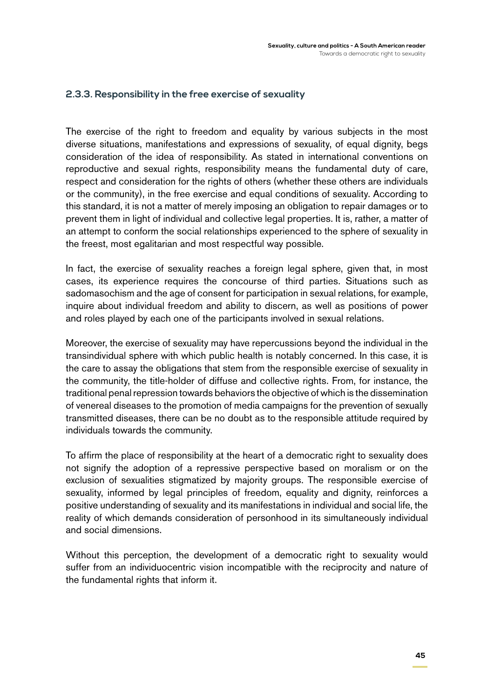#### **2.3.3. Responsibility in the free exercise of sexuality**

The exercise of the right to freedom and equality by various subjects in the most diverse situations, manifestations and expressions of sexuality, of equal dignity, begs consideration of the idea of responsibility. As stated in international conventions on reproductive and sexual rights, responsibility means the fundamental duty of care, respect and consideration for the rights of others (whether these others are individuals or the community), in the free exercise and equal conditions of sexuality. According to this standard, it is not a matter of merely imposing an obligation to repair damages or to prevent them in light of individual and collective legal properties. It is, rather, a matter of an attempt to conform the social relationships experienced to the sphere of sexuality in the freest, most egalitarian and most respectful way possible.

In fact, the exercise of sexuality reaches a foreign legal sphere, given that, in most cases, its experience requires the concourse of third parties. Situations such as sadomasochism and the age of consent for participation in sexual relations, for example, inquire about individual freedom and ability to discern, as well as positions of power and roles played by each one of the participants involved in sexual relations.

Moreover, the exercise of sexuality may have repercussions beyond the individual in the transindividual sphere with which public health is notably concerned. In this case, it is the care to assay the obligations that stem from the responsible exercise of sexuality in the community, the title-holder of diffuse and collective rights. From, for instance, the traditional penal repression towards behaviors the objective of which is the dissemination of venereal diseases to the promotion of media campaigns for the prevention of sexually transmitted diseases, there can be no doubt as to the responsible attitude required by individuals towards the community.

To affirm the place of responsibility at the heart of a democratic right to sexuality does not signify the adoption of a repressive perspective based on moralism or on the exclusion of sexualities stigmatized by majority groups. The responsible exercise of sexuality, informed by legal principles of freedom, equality and dignity, reinforces a positive understanding of sexuality and its manifestations in individual and social life, the reality of which demands consideration of personhood in its simultaneously individual and social dimensions.

Without this perception, the development of a democratic right to sexuality would suffer from an individuocentric vision incompatible with the reciprocity and nature of the fundamental rights that inform it.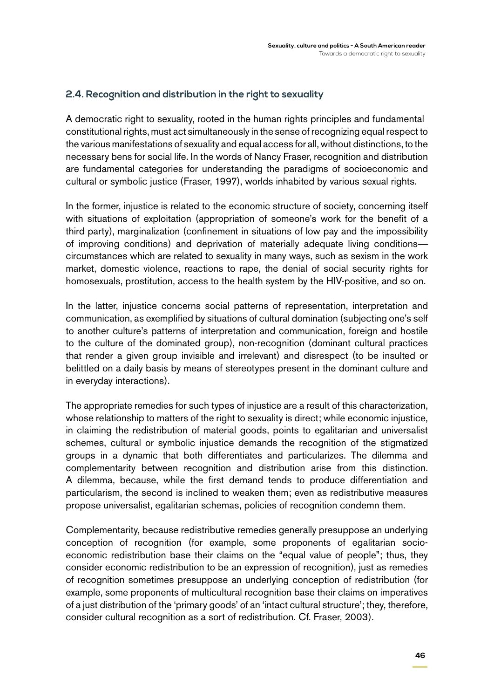#### **2.4. Recognition and distribution in the right to sexuality**

A democratic right to sexuality, rooted in the human rights principles and fundamental constitutional rights, must act simultaneously in the sense of recognizing equal respect to the various manifestations of sexuality and equal access for all, without distinctions, to the necessary bens for social life. In the words of Nancy Fraser, recognition and distribution are fundamental categories for understanding the paradigms of socioeconomic and cultural or symbolic justice (Fraser, 1997), worlds inhabited by various sexual rights.

In the former, injustice is related to the economic structure of society, concerning itself with situations of exploitation (appropriation of someone's work for the benefit of a third party), marginalization (confinement in situations of low pay and the impossibility of improving conditions) and deprivation of materially adequate living conditions circumstances which are related to sexuality in many ways, such as sexism in the work market, domestic violence, reactions to rape, the denial of social security rights for homosexuals, prostitution, access to the health system by the HIV-positive, and so on.

In the latter, injustice concerns social patterns of representation, interpretation and communication, as exemplified by situations of cultural domination (subjecting one's self to another culture's patterns of interpretation and communication, foreign and hostile to the culture of the dominated group), non-recognition (dominant cultural practices that render a given group invisible and irrelevant) and disrespect (to be insulted or belittled on a daily basis by means of stereotypes present in the dominant culture and in everyday interactions).

The appropriate remedies for such types of injustice are a result of this characterization, whose relationship to matters of the right to sexuality is direct; while economic injustice, in claiming the redistribution of material goods, points to egalitarian and universalist schemes, cultural or symbolic injustice demands the recognition of the stigmatized groups in a dynamic that both differentiates and particularizes. The dilemma and complementarity between recognition and distribution arise from this distinction. A dilemma, because, while the first demand tends to produce differentiation and particularism, the second is inclined to weaken them; even as redistributive measures propose universalist, egalitarian schemas, policies of recognition condemn them.

Complementarity, because redistributive remedies generally presuppose an underlying conception of recognition (for example, some proponents of egalitarian socioeconomic redistribution base their claims on the "equal value of people"; thus, they consider economic redistribution to be an expression of recognition), just as remedies of recognition sometimes presuppose an underlying conception of redistribution (for example, some proponents of multicultural recognition base their claims on imperatives of a just distribution of the 'primary goods' of an 'intact cultural structure'; they, therefore, consider cultural recognition as a sort of redistribution. Cf. Fraser, 2003).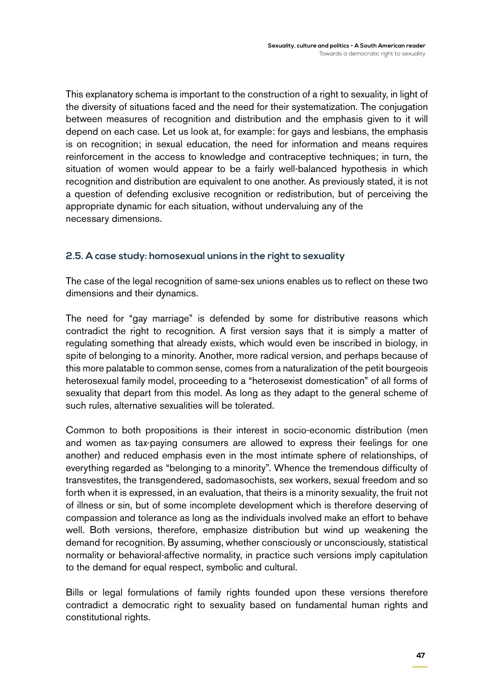This explanatory schema is important to the construction of a right to sexuality, in light of the diversity of situations faced and the need for their systematization. The conjugation between measures of recognition and distribution and the emphasis given to it will depend on each case. Let us look at, for example: for gays and lesbians, the emphasis is on recognition; in sexual education, the need for information and means requires reinforcement in the access to knowledge and contraceptive techniques; in turn, the situation of women would appear to be a fairly well-balanced hypothesis in which recognition and distribution are equivalent to one another. As previously stated, it is not a question of defending exclusive recognition or redistribution, but of perceiving the appropriate dynamic for each situation, without undervaluing any of the necessary dimensions.

#### **2.5. A case study: homosexual unions in the right to sexuality**

The case of the legal recognition of same-sex unions enables us to reflect on these two dimensions and their dynamics.

The need for "gay marriage" is defended by some for distributive reasons which contradict the right to recognition. A first version says that it is simply a matter of regulating something that already exists, which would even be inscribed in biology, in spite of belonging to a minority. Another, more radical version, and perhaps because of this more palatable to common sense, comes from a naturalization of the petit bourgeois heterosexual family model, proceeding to a "heterosexist domestication" of all forms of sexuality that depart from this model. As long as they adapt to the general scheme of such rules, alternative sexualities will be tolerated.

Common to both propositions is their interest in socio-economic distribution (men and women as tax-paying consumers are allowed to express their feelings for one another) and reduced emphasis even in the most intimate sphere of relationships, of everything regarded as "belonging to a minority". Whence the tremendous difficulty of transvestites, the transgendered, sadomasochists, sex workers, sexual freedom and so forth when it is expressed, in an evaluation, that theirs is a minority sexuality, the fruit not of illness or sin, but of some incomplete development which is therefore deserving of compassion and tolerance as long as the individuals involved make an effort to behave well. Both versions, therefore, emphasize distribution but wind up weakening the demand for recognition. By assuming, whether consciously or unconsciously, statistical normality or behavioral-affective normality, in practice such versions imply capitulation to the demand for equal respect, symbolic and cultural.

Bills or legal formulations of family rights founded upon these versions therefore contradict a democratic right to sexuality based on fundamental human rights and constitutional rights.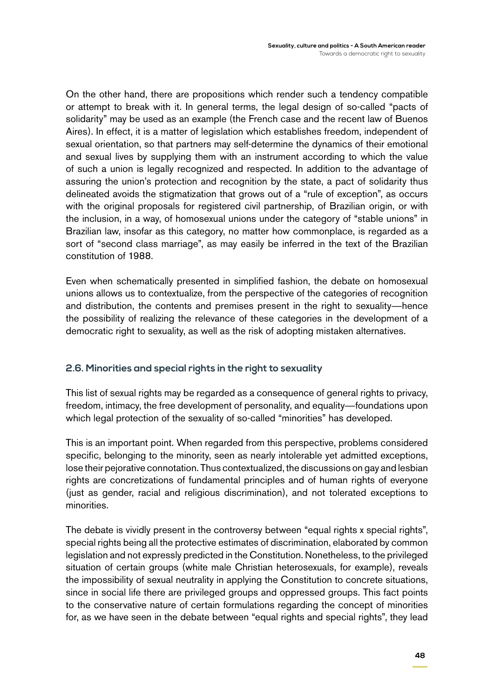On the other hand, there are propositions which render such a tendency compatible or attempt to break with it. In general terms, the legal design of so-called "pacts of solidarity" may be used as an example (the French case and the recent law of Buenos Aires). In effect, it is a matter of legislation which establishes freedom, independent of sexual orientation, so that partners may self-determine the dynamics of their emotional and sexual lives by supplying them with an instrument according to which the value of such a union is legally recognized and respected. In addition to the advantage of assuring the union's protection and recognition by the state, a pact of solidarity thus delineated avoids the stigmatization that grows out of a "rule of exception", as occurs with the original proposals for registered civil partnership, of Brazilian origin, or with the inclusion, in a way, of homosexual unions under the category of "stable unions" in Brazilian law, insofar as this category, no matter how commonplace, is regarded as a sort of "second class marriage", as may easily be inferred in the text of the Brazilian constitution of 1988.

Even when schematically presented in simplified fashion, the debate on homosexual unions allows us to contextualize, from the perspective of the categories of recognition and distribution, the contents and premises present in the right to sexuality—hence the possibility of realizing the relevance of these categories in the development of a democratic right to sexuality, as well as the risk of adopting mistaken alternatives.

#### **2.6. Minorities and special rights in the right to sexuality**

This list of sexual rights may be regarded as a consequence of general rights to privacy, freedom, intimacy, the free development of personality, and equality—foundations upon which legal protection of the sexuality of so-called "minorities" has developed.

This is an important point. When regarded from this perspective, problems considered specific, belonging to the minority, seen as nearly intolerable yet admitted exceptions, lose their pejorative connotation. Thus contextualized, the discussions on gay and lesbian rights are concretizations of fundamental principles and of human rights of everyone (just as gender, racial and religious discrimination), and not tolerated exceptions to minorities.

The debate is vividly present in the controversy between "equal rights x special rights", special rights being all the protective estimates of discrimination, elaborated by common legislation and not expressly predicted in the Constitution. Nonetheless, to the privileged situation of certain groups (white male Christian heterosexuals, for example), reveals the impossibility of sexual neutrality in applying the Constitution to concrete situations, since in social life there are privileged groups and oppressed groups. This fact points to the conservative nature of certain formulations regarding the concept of minorities for, as we have seen in the debate between "equal rights and special rights", they lead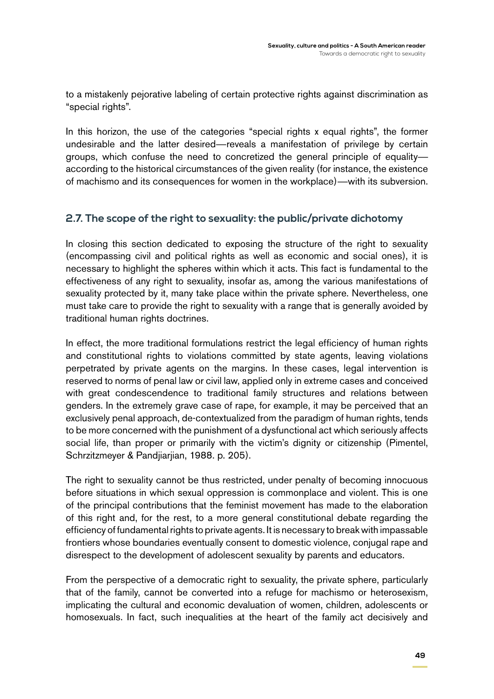to a mistakenly pejorative labeling of certain protective rights against discrimination as "special rights".

In this horizon, the use of the categories "special rights x equal rights", the former undesirable and the latter desired—reveals a manifestation of privilege by certain groups, which confuse the need to concretized the general principle of equality according to the historical circumstances of the given reality (for instance, the existence of machismo and its consequences for women in the workplace)—with its subversion.

### **2.7. The scope of the right to sexuality: the public/private dichotomy**

In closing this section dedicated to exposing the structure of the right to sexuality (encompassing civil and political rights as well as economic and social ones), it is necessary to highlight the spheres within which it acts. This fact is fundamental to the effectiveness of any right to sexuality, insofar as, among the various manifestations of sexuality protected by it, many take place within the private sphere. Nevertheless, one must take care to provide the right to sexuality with a range that is generally avoided by traditional human rights doctrines.

In effect, the more traditional formulations restrict the legal efficiency of human rights and constitutional rights to violations committed by state agents, leaving violations perpetrated by private agents on the margins. In these cases, legal intervention is reserved to norms of penal law or civil law, applied only in extreme cases and conceived with great condescendence to traditional family structures and relations between genders. In the extremely grave case of rape, for example, it may be perceived that an exclusively penal approach, de-contextualized from the paradigm of human rights, tends to be more concerned with the punishment of a dysfunctional act which seriously affects social life, than proper or primarily with the victim's dignity or citizenship (Pimentel, Schrzitzmeyer & Pandjiarjian, 1988. p. 205).

The right to sexuality cannot be thus restricted, under penalty of becoming innocuous before situations in which sexual oppression is commonplace and violent. This is one of the principal contributions that the feminist movement has made to the elaboration of this right and, for the rest, to a more general constitutional debate regarding the efficiency of fundamental rights to private agents. It is necessary to break with impassable frontiers whose boundaries eventually consent to domestic violence, conjugal rape and disrespect to the development of adolescent sexuality by parents and educators.

From the perspective of a democratic right to sexuality, the private sphere, particularly that of the family, cannot be converted into a refuge for machismo or heterosexism, implicating the cultural and economic devaluation of women, children, adolescents or homosexuals. In fact, such inequalities at the heart of the family act decisively and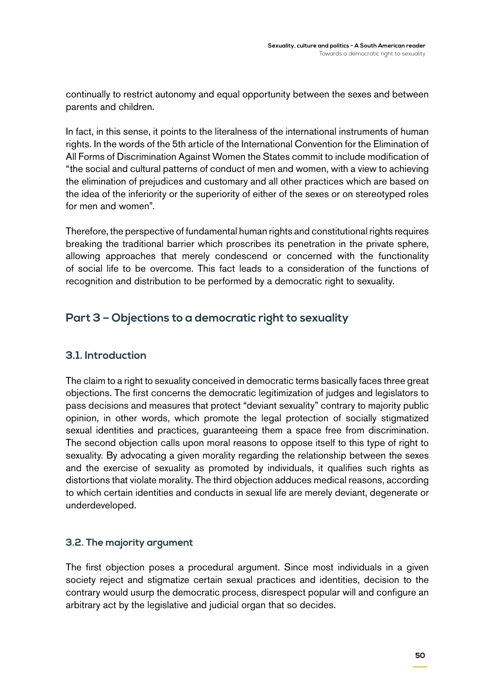continually to restrict autonomy and equal opportunity between the sexes and between parents and children.

In fact, in this sense, it points to the literalness of the international instruments of human rights. In the words of the 5th article of the International Convention for the Elimination of All Forms of Discrimination Against Women the States commit to include modification of "the social and cultural patterns of conduct of men and women, with a view to achieving the elimination of prejudices and customary and all other practices which are based on the idea of the inferiority or the superiority of either of the sexes or on stereotyped roles for men and women".

Therefore, the perspective of fundamental human rights and constitutional rights requires breaking the traditional barrier which proscribes its penetration in the private sphere, allowing approaches that merely condescend or concerned with the functionality of social life to be overcome. This fact leads to a consideration of the functions of recognition and distribution to be performed by a democratic right to sexuality.

## **Part 3 – Objections to a democratic right to sexuality**

## **3.1. Introduction**

The claim to a right to sexuality conceived in democratic terms basically faces three great objections. The first concerns the democratic legitimization of judges and legislators to pass decisions and measures that protect "deviant sexuality" contrary to majority public opinion, in other words, which promote the legal protection of socially stigmatized sexual identities and practices, guaranteeing them a space free from discrimination. The second objection calls upon moral reasons to oppose itself to this type of right to sexuality. By advocating a given morality regarding the relationship between the sexes and the exercise of sexuality as promoted by individuals, it qualifies such rights as distortions that violate morality. The third objection adduces medical reasons, according to which certain identities and conducts in sexual life are merely deviant, degenerate or underdeveloped.

#### **3.2. The majority argument**

The first objection poses a procedural argument. Since most individuals in a given society reject and stigmatize certain sexual practices and identities, decision to the contrary would usurp the democratic process, disrespect popular will and configure an arbitrary act by the legislative and judicial organ that so decides.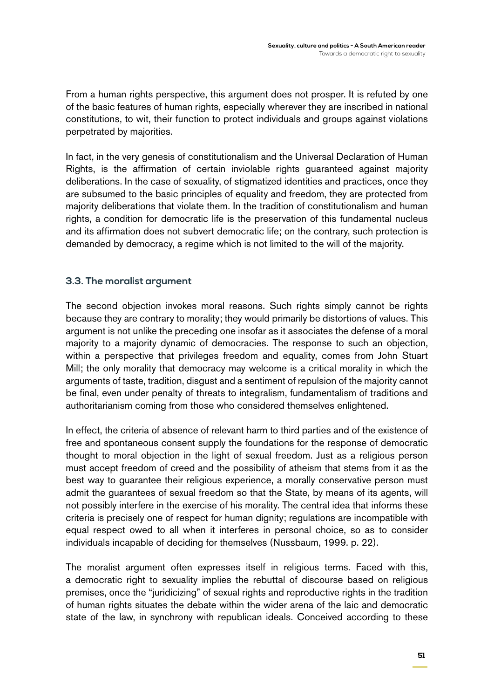From a human rights perspective, this argument does not prosper. It is refuted by one of the basic features of human rights, especially wherever they are inscribed in national constitutions, to wit, their function to protect individuals and groups against violations perpetrated by majorities.

In fact, in the very genesis of constitutionalism and the Universal Declaration of Human Rights, is the affirmation of certain inviolable rights guaranteed against majority deliberations. In the case of sexuality, of stigmatized identities and practices, once they are subsumed to the basic principles of equality and freedom, they are protected from majority deliberations that violate them. In the tradition of constitutionalism and human rights, a condition for democratic life is the preservation of this fundamental nucleus and its affirmation does not subvert democratic life; on the contrary, such protection is demanded by democracy, a regime which is not limited to the will of the majority.

#### **3.3. The moralist argument**

The second objection invokes moral reasons. Such rights simply cannot be rights because they are contrary to morality; they would primarily be distortions of values. This argument is not unlike the preceding one insofar as it associates the defense of a moral majority to a majority dynamic of democracies. The response to such an objection, within a perspective that privileges freedom and equality, comes from John Stuart Mill; the only morality that democracy may welcome is a critical morality in which the arguments of taste, tradition, disgust and a sentiment of repulsion of the majority cannot be final, even under penalty of threats to integralism, fundamentalism of traditions and authoritarianism coming from those who considered themselves enlightened.

In effect, the criteria of absence of relevant harm to third parties and of the existence of free and spontaneous consent supply the foundations for the response of democratic thought to moral objection in the light of sexual freedom. Just as a religious person must accept freedom of creed and the possibility of atheism that stems from it as the best way to guarantee their religious experience, a morally conservative person must admit the guarantees of sexual freedom so that the State, by means of its agents, will not possibly interfere in the exercise of his morality. The central idea that informs these criteria is precisely one of respect for human dignity; regulations are incompatible with equal respect owed to all when it interferes in personal choice, so as to consider individuals incapable of deciding for themselves (Nussbaum, 1999. p. 22).

The moralist argument often expresses itself in religious terms. Faced with this, a democratic right to sexuality implies the rebuttal of discourse based on religious premises, once the "juridicizing" of sexual rights and reproductive rights in the tradition of human rights situates the debate within the wider arena of the laic and democratic state of the law, in synchrony with republican ideals. Conceived according to these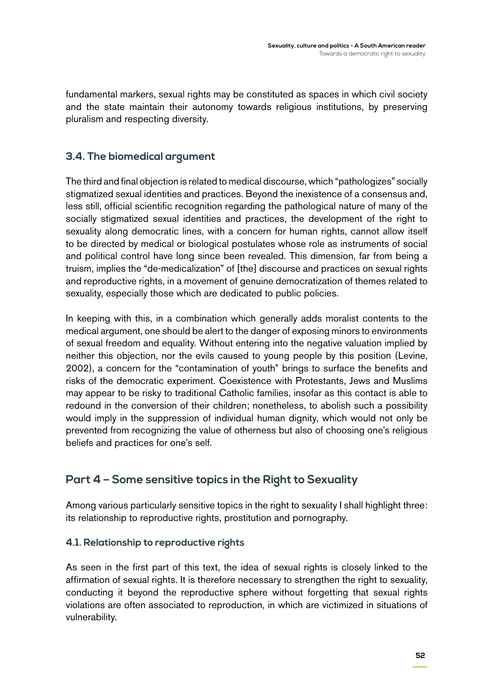fundamental markers, sexual rights may be constituted as spaces in which civil society and the state maintain their autonomy towards religious institutions, by preserving pluralism and respecting diversity.

## **3.4. The biomedical argument**

The third and final objection is related to medical discourse, which "pathologizes" socially stigmatized sexual identities and practices. Beyond the inexistence of a consensus and, less still, official scientific recognition regarding the pathological nature of many of the socially stigmatized sexual identities and practices, the development of the right to sexuality along democratic lines, with a concern for human rights, cannot allow itself to be directed by medical or biological postulates whose role as instruments of social and political control have long since been revealed. This dimension, far from being a truism, implies the "de-medicalization" of [the] discourse and practices on sexual rights and reproductive rights, in a movement of genuine democratization of themes related to sexuality, especially those which are dedicated to public policies.

In keeping with this, in a combination which generally adds moralist contents to the medical argument, one should be alert to the danger of exposing minors to environments of sexual freedom and equality. Without entering into the negative valuation implied by neither this objection, nor the evils caused to young people by this position (Levine, 2002), a concern for the "contamination of youth" brings to surface the benefits and risks of the democratic experiment. Coexistence with Protestants, Jews and Muslims may appear to be risky to traditional Catholic families, insofar as this contact is able to redound in the conversion of their children; nonetheless, to abolish such a possibility would imply in the suppression of individual human dignity, which would not only be prevented from recognizing the value of otherness but also of choosing one's religious beliefs and practices for one's self.

## **Part 4 – Some sensitive topics in the Right to Sexuality**

Among various particularly sensitive topics in the right to sexuality I shall highlight three: its relationship to reproductive rights, prostitution and pornography.

#### **4.1. Relationship to reproductive rights**

As seen in the first part of this text, the idea of sexual rights is closely linked to the affirmation of sexual rights. It is therefore necessary to strengthen the right to sexuality, conducting it beyond the reproductive sphere without forgetting that sexual rights violations are often associated to reproduction, in which are victimized in situations of vulnerability.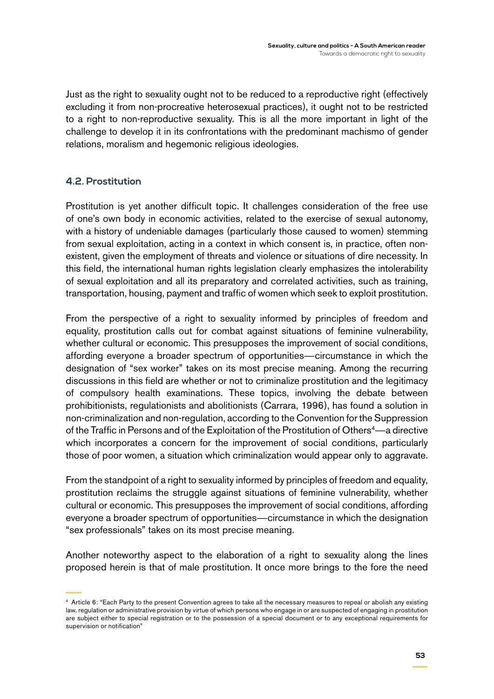Just as the right to sexuality ought not to be reduced to a reproductive right (effectively excluding it from non-procreative heterosexual practices), it ought not to be restricted to a right to non-reproductive sexuality. This is all the more important in light of the challenge to develop it in its confrontations with the predominant machismo of gender relations, moralism and hegemonic religious ideologies.

#### **4.2. Prostitution**

Prostitution is yet another difficult topic. It challenges consideration of the free use of one's own body in economic activities, related to the exercise of sexual autonomy, with a history of undeniable damages (particularly those caused to women) stemming from sexual exploitation, acting in a context in which consent is, in practice, often nonexistent, given the employment of threats and violence or situations of dire necessity. In this field, the international human rights legislation clearly emphasizes the intolerability of sexual exploitation and all its preparatory and correlated activities, such as training, transportation, housing, payment and traffic of women which seek to exploit prostitution.

From the perspective of a right to sexuality informed by principles of freedom and equality, prostitution calls out for combat against situations of feminine vulnerability, whether cultural or economic. This presupposes the improvement of social conditions, affording everyone a broader spectrum of opportunities—circumstance in which the designation of "sex worker" takes on its most precise meaning. Among the recurring discussions in this field are whether or not to criminalize prostitution and the legitimacy of compulsory health examinations. These topics, involving the debate between prohibitionists, regulationists and abolitionists (Carrara, 1996), has found a solution in non-criminalization and non-regulation, according to the Convention for the Suppression of the Traffic in Persons and of the Exploitation of the Prostitution of Others<sup>4</sup>—a directive which incorporates a concern for the improvement of social conditions, particularly those of poor women, a situation which criminalization would appear only to aggravate.

From the standpoint of a right to sexuality informed by principles of freedom and equality, prostitution reclaims the struggle against situations of feminine vulnerability, whether cultural or economic. This presupposes the improvement of social conditions, affording everyone a broader spectrum of opportunities—circumstance in which the designation "sex professionals" takes on its most precise meaning.

Another noteworthy aspect to the elaboration of a right to sexuality along the lines proposed herein is that of male prostitution. It once more brings to the fore the need

<sup>4</sup> Article 6: "Each Party to the present Convention agrees to take all the necessary measures to repeal or abolish any existing law, regulation or administrative provision by virtue of which persons who engage in or are suspected of engaging in prostitution are subject either to special registration or to the possession of a special document or to any exceptional requirements for supervision or notification"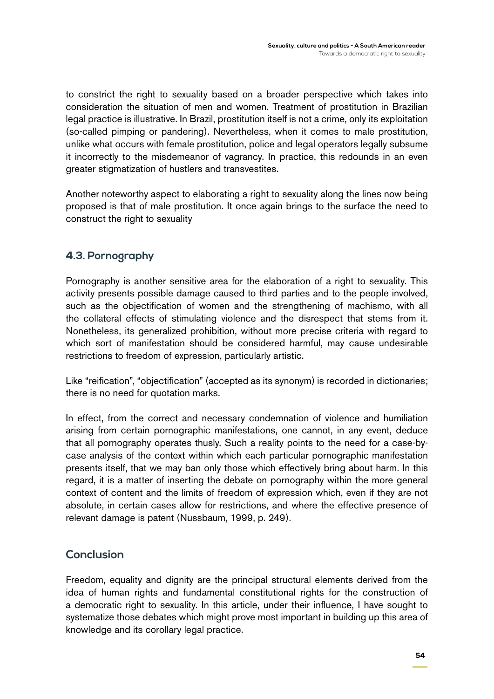to constrict the right to sexuality based on a broader perspective which takes into consideration the situation of men and women. Treatment of prostitution in Brazilian legal practice is illustrative. In Brazil, prostitution itself is not a crime, only its exploitation (so-called pimping or pandering). Nevertheless, when it comes to male prostitution, unlike what occurs with female prostitution, police and legal operators legally subsume it incorrectly to the misdemeanor of vagrancy. In practice, this redounds in an even greater stigmatization of hustlers and transvestites.

Another noteworthy aspect to elaborating a right to sexuality along the lines now being proposed is that of male prostitution. It once again brings to the surface the need to construct the right to sexuality

## **4.3. Pornography**

Pornography is another sensitive area for the elaboration of a right to sexuality. This activity presents possible damage caused to third parties and to the people involved, such as the objectification of women and the strengthening of machismo, with all the collateral effects of stimulating violence and the disrespect that stems from it. Nonetheless, its generalized prohibition, without more precise criteria with regard to which sort of manifestation should be considered harmful, may cause undesirable restrictions to freedom of expression, particularly artistic.

Like "reification", "objectification" (accepted as its synonym) is recorded in dictionaries; there is no need for quotation marks.

In effect, from the correct and necessary condemnation of violence and humiliation arising from certain pornographic manifestations, one cannot, in any event, deduce that all pornography operates thusly. Such a reality points to the need for a case-bycase analysis of the context within which each particular pornographic manifestation presents itself, that we may ban only those which effectively bring about harm. In this regard, it is a matter of inserting the debate on pornography within the more general context of content and the limits of freedom of expression which, even if they are not absolute, in certain cases allow for restrictions, and where the effective presence of relevant damage is patent (Nussbaum, 1999, p. 249).

## **Conclusion**

Freedom, equality and dignity are the principal structural elements derived from the idea of human rights and fundamental constitutional rights for the construction of a democratic right to sexuality. In this article, under their influence, I have sought to systematize those debates which might prove most important in building up this area of knowledge and its corollary legal practice.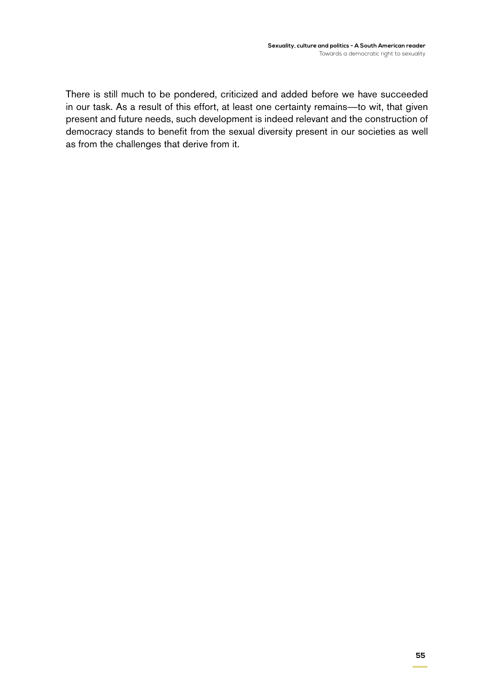There is still much to be pondered, criticized and added before we have succeeded in our task. As a result of this effort, at least one certainty remains—to wit, that given present and future needs, such development is indeed relevant and the construction of democracy stands to benefit from the sexual diversity present in our societies as well as from the challenges that derive from it.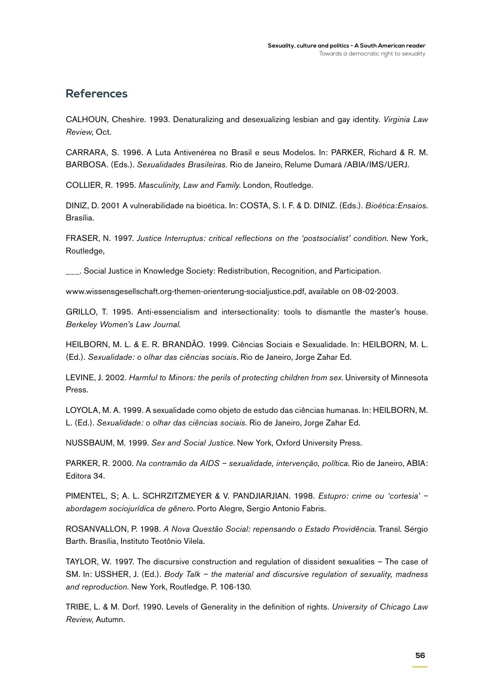### **References**

Calhoun, Cheshire. 1993. Denaturalizing and desexualizing lesbian and gay identity. *Virginia Law Review*, Oct.

CARRARA, S. 1996. A Luta Antivenérea no Brasil e seus Modelos. In: PARKER, Richard & R. M. Barbosa. (Eds.). *Sexualidades Brasileiras.* Rio de Janeiro, Relume Dumará /ABIA/IMS/UERJ.

Collier, R. 1995. *Masculinity, Law and Family*. London, Routledge.

Diniz, D. 2001 A vulnerabilidade na bioética. In: Costa, S. I. F. & D. Diniz. (Eds.). *Bioética:Ensaios*. Brasília.

Fraser, N. 1997. *Justice Interruptus: critical reflections on the 'postsocialist' condition*. New York, Routledge,

**\_\_\_.** Social Justice in Knowledge Society: Redistribution, Recognition, and Participation.

www.wissensgesellschaft.org-themen-orienterung-socialjustice.pdf, available on 08-02-2003.

GRILLO, T. 1995. Anti-essencialism and intersectionality: tools to dismantle the master's house. *Berkeley Women's Law Journal*.

Heilborn, M. L. & E. R. Brandão. 1999. Ciências Sociais e Sexualidade. In: Heilborn, M. L. (Ed.). *Sexualidade: o olhar das ciências sociais*. Rio de Janeiro, Jorge Zahar Ed.

Levine, J. 2002. *Harmful to Minors: the perils of protecting children from sex*. University of Minnesota Press.

LOYOLA, M. A. 1999. A sexualidade como objeto de estudo das ciências humanas. In: HEILBORN, M. L. (Ed.). *Sexualidade: o olhar das ciências sociais*. Rio de Janeiro, Jorge Zahar Ed.

Nussbaum, M. 1999. *Sex and Social Justice*. New York, Oxford University Press.

Parker, R. 2000. *Na contramão da AIDS – sexualidade, intervenção, política*. Rio de Janeiro, ABIA: Editora 34.

Pimentel, S; A. L. Schrzitzmeyer & V. Pandjiarjian. 1998. *Estupro: crime ou 'cortesia' – abordagem sociojurídica de gênero*. Porto Alegre, Sergio Antonio Fabris.

Rosanvallon, P. 1998. *A Nova Questão Social: repensando o Estado Providência*. Transl. Sérgio Barth. Brasília, Instituto Teotônio Vilela.

Taylor, W. 1997. The discursive construction and regulation of dissident sexualities – The case of SM. In: Ussher, J. (Ed.). *Body Talk – the material and discursive regulation of sexuality, madness and reproduction*. New York, Routledge. P. 106-130*.*

Tribe, L. & M. Dorf. 1990. Levels of Generality in the definition of rights. *University of Chicago Law Review*, Autumn.